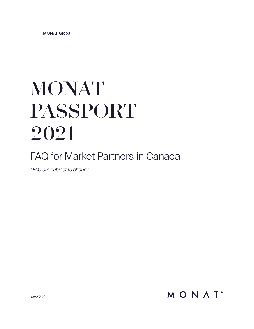# MONAT PASSPORT 2021

# FAQ for Market Partners in Canada

*\*FAQ are subject to change.*

MONAT<sup>®</sup>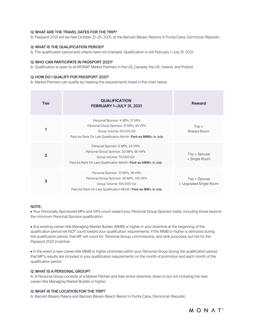# Q: WHAT ARE THE TRAVEL DATES FOR THE TRIP?

A: Passport 2021 will be held October 21–25, 2021, at the Barceló Bávaro Resorts in Punta Cana, Dominican Republic.

# Q: WHAT IS THE QUALIFICATION PERIOD?

A: The qualification period and criteria have not changed. Qualification is still February 1–July 31, 2021.

## Q: WHO CAN PARTICIPATE IN PASSPORT 2021?

A: Qualification is open to all MONAT Market Partners in the US, Canada, the UK, Ireland, and Poland.

#### Q: HOW DO I QUALIFY FOR PASSPORT 2021?

A: Market Partners can qualify by meeting the requirements listed in the chart below.

| <b>Tier</b>    | <b>QUALIFICATION</b><br>FEBRUARY 1-JULY 31, 2021                                                                                                                           | <b>Reward</b>                           |
|----------------|----------------------------------------------------------------------------------------------------------------------------------------------------------------------------|-----------------------------------------|
|                | Personal Sponsor: 4 MPs, 12 VIPs<br>Personal Group Sponsor: 15 MPs, 45 VIPs<br>Group Volume: 50,000 GV<br>Paid-As Rank On Last Qualification Month: Paid-as MMB+ in July   | $Trip +$<br>Shared Room                 |
| $\overline{2}$ | Personal Sponsor: 6 MPs, 24 VIPs<br>Personal Group Sponsor: 30 MPs, 90 VIPs<br>Group Volume: 70,000 GV<br>Paid-As Rank On Last Qualification Month: Paid-as AMM+ in July   | Trip + Spouse<br>+ Single Room          |
| 3              | Personal Sponsor: 10 MPs, 36 VIPs<br>Personal Group Sponsor: 45 MPs, 140 VIPs<br>Group Volume: 100,000 GV<br>Paid-As Rank On Last Qualification Month: Paid-as MM+ in July | Trip + Spouse<br>+ Upgraded Single Room |

## NOTE:

• Your Personally Sponsored MPs and VIPs count toward your Personal Group Sponsor totals, including those beyond the minimum Personal Sponsor qualification.

• Any existing career-title Managing Market Builder (MMB) or higher in your downline at the beginning of the qualification period will NOT count toward your qualification requirements. If the MMB or higher is demoted during the qualification period, that MP will count for: Personal Group, commissions, and rank purposes, but not for the Passport 2021 incentive.

• In the event a new career-title MMB or higher promotes within your Personal Group during the qualification period, that MP's results are included in your qualification requirements on the month of promotion and each month of the qualification period.

# Q: WHAT IS A PERSONAL GROUP?

A: A Personal Group consists of a Market Partner and their entire downline, down to but not including the next career-title Managing Market Builder or higher.

# Q: WHAT IS THE LOCATION FOR THE TRIP?

A: Barceló Bávaro Palace and Barceló Bávaro Beach Resort in Punta Cana, Dominican Republic.